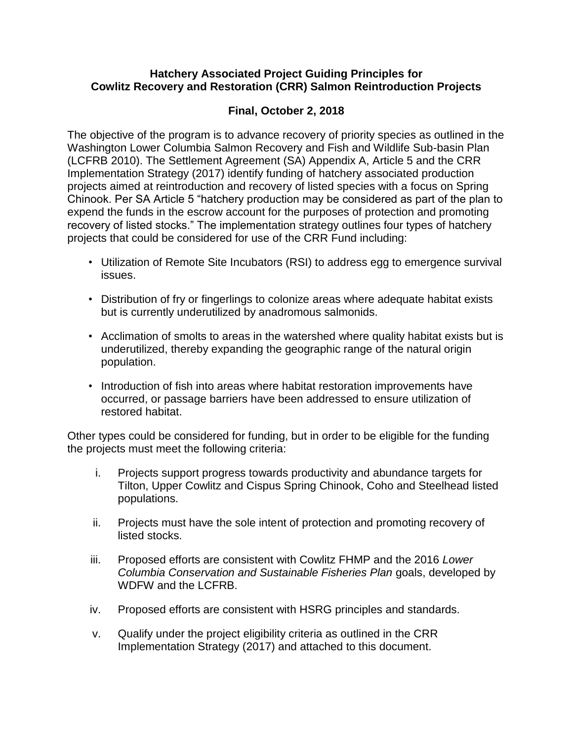#### **Hatchery Associated Project Guiding Principles for Cowlitz Recovery and Restoration (CRR) Salmon Reintroduction Projects**

### **Final, October 2, 2018**

The objective of the program is to advance recovery of priority species as outlined in the Washington Lower Columbia Salmon Recovery and Fish and Wildlife Sub-basin Plan (LCFRB 2010). The Settlement Agreement (SA) Appendix A, Article 5 and the CRR Implementation Strategy (2017) identify funding of hatchery associated production projects aimed at reintroduction and recovery of listed species with a focus on Spring Chinook. Per SA Article 5 "hatchery production may be considered as part of the plan to expend the funds in the escrow account for the purposes of protection and promoting recovery of listed stocks." The implementation strategy outlines four types of hatchery projects that could be considered for use of the CRR Fund including:

- Utilization of Remote Site Incubators (RSI) to address egg to emergence survival issues.
- Distribution of fry or fingerlings to colonize areas where adequate habitat exists but is currently underutilized by anadromous salmonids.
- Acclimation of smolts to areas in the watershed where quality habitat exists but is underutilized, thereby expanding the geographic range of the natural origin population.
- Introduction of fish into areas where habitat restoration improvements have occurred, or passage barriers have been addressed to ensure utilization of restored habitat.

Other types could be considered for funding, but in order to be eligible for the funding the projects must meet the following criteria:

- i. Projects support progress towards productivity and abundance targets for Tilton, Upper Cowlitz and Cispus Spring Chinook, Coho and Steelhead listed populations.
- ii. Projects must have the sole intent of protection and promoting recovery of listed stocks.
- iii. Proposed efforts are consistent with Cowlitz FHMP and the 2016 *Lower Columbia Conservation and Sustainable Fisheries Plan* goals, developed by WDFW and the LCFRB.
- iv. Proposed efforts are consistent with HSRG principles and standards.
- v. Qualify under the project eligibility criteria as outlined in the CRR Implementation Strategy (2017) and attached to this document.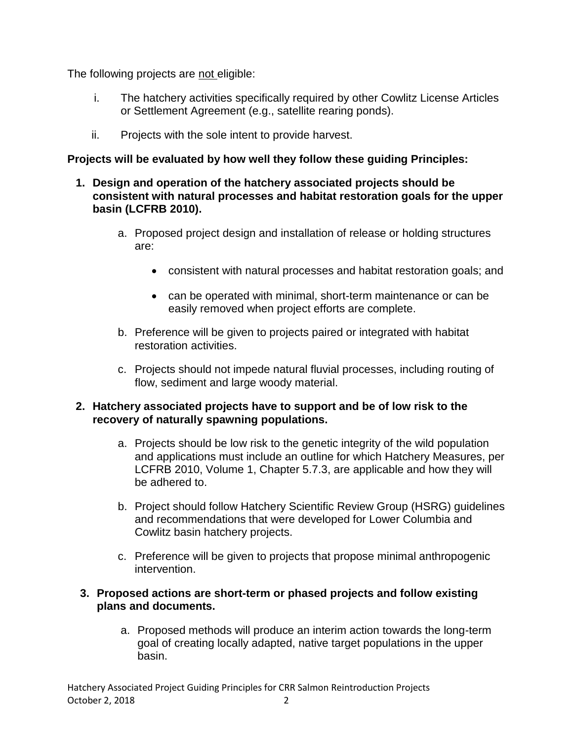The following projects are not eligible:

- i. The hatchery activities specifically required by other Cowlitz License Articles or Settlement Agreement (e.g., satellite rearing ponds).
- ii. Projects with the sole intent to provide harvest.

### **Projects will be evaluated by how well they follow these guiding Principles:**

- **1. Design and operation of the hatchery associated projects should be consistent with natural processes and habitat restoration goals for the upper basin (LCFRB 2010).** 
	- a. Proposed project design and installation of release or holding structures are:
		- consistent with natural processes and habitat restoration goals; and
		- can be operated with minimal, short-term maintenance or can be easily removed when project efforts are complete.
	- b. Preference will be given to projects paired or integrated with habitat restoration activities.
	- c. Projects should not impede natural fluvial processes, including routing of flow, sediment and large woody material.

#### **2. Hatchery associated projects have to support and be of low risk to the recovery of naturally spawning populations.**

- a. Projects should be low risk to the genetic integrity of the wild population and applications must include an outline for which Hatchery Measures, per LCFRB 2010, Volume 1, Chapter 5.7.3, are applicable and how they will be adhered to.
- b. Project should follow Hatchery Scientific Review Group (HSRG) guidelines and recommendations that were developed for Lower Columbia and Cowlitz basin hatchery projects.
- c. Preference will be given to projects that propose minimal anthropogenic intervention.

#### **3. Proposed actions are short-term or phased projects and follow existing plans and documents.**

a. Proposed methods will produce an interim action towards the long-term goal of creating locally adapted, native target populations in the upper basin.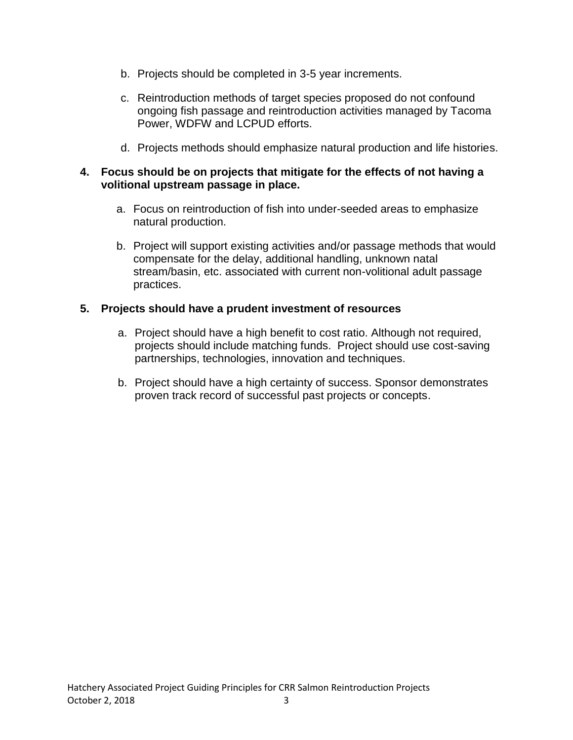- b. Projects should be completed in 3-5 year increments.
- c. Reintroduction methods of target species proposed do not confound ongoing fish passage and reintroduction activities managed by Tacoma Power, WDFW and LCPUD efforts.
- d. Projects methods should emphasize natural production and life histories.

#### **4. Focus should be on projects that mitigate for the effects of not having a volitional upstream passage in place.**

- a. Focus on reintroduction of fish into under-seeded areas to emphasize natural production.
- b. Project will support existing activities and/or passage methods that would compensate for the delay, additional handling, unknown natal stream/basin, etc. associated with current non-volitional adult passage practices.

#### **5. Projects should have a prudent investment of resources**

- a. Project should have a high benefit to cost ratio. Although not required, projects should include matching funds. Project should use cost-saving partnerships, technologies, innovation and techniques.
- b. Project should have a high certainty of success. Sponsor demonstrates proven track record of successful past projects or concepts.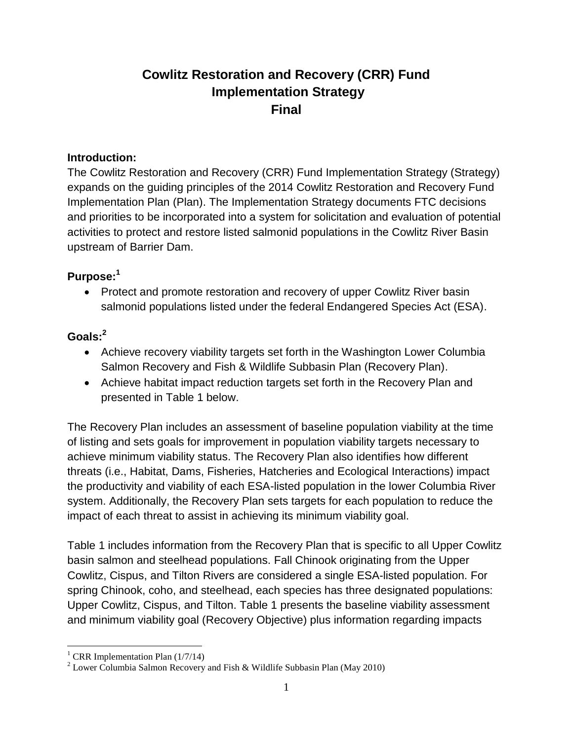# **Cowlitz Restoration and Recovery (CRR) Fund Implementation Strategy Final**

#### **Introduction:**

The Cowlitz Restoration and Recovery (CRR) Fund Implementation Strategy (Strategy) expands on the guiding principles of the 2014 Cowlitz Restoration and Recovery Fund Implementation Plan (Plan). The Implementation Strategy documents FTC decisions and priorities to be incorporated into a system for solicitation and evaluation of potential activities to protect and restore listed salmonid populations in the Cowlitz River Basin upstream of Barrier Dam.

## **Purpose:<sup>1</sup>**

• Protect and promote restoration and recovery of upper Cowlitz River basin salmonid populations listed under the federal Endangered Species Act (ESA).

## **Goals:<sup>2</sup>**

- Achieve recovery viability targets set forth in the Washington Lower Columbia Salmon Recovery and Fish & Wildlife Subbasin Plan (Recovery Plan).
- Achieve habitat impact reduction targets set forth in the Recovery Plan and presented in Table 1 below.

The Recovery Plan includes an assessment of baseline population viability at the time of listing and sets goals for improvement in population viability targets necessary to achieve minimum viability status. The Recovery Plan also identifies how different threats (i.e., Habitat, Dams, Fisheries, Hatcheries and Ecological Interactions) impact the productivity and viability of each ESA-listed population in the lower Columbia River system. Additionally, the Recovery Plan sets targets for each population to reduce the impact of each threat to assist in achieving its minimum viability goal.

Table 1 includes information from the Recovery Plan that is specific to all Upper Cowlitz basin salmon and steelhead populations. Fall Chinook originating from the Upper Cowlitz, Cispus, and Tilton Rivers are considered a single ESA-listed population. For spring Chinook, coho, and steelhead, each species has three designated populations: Upper Cowlitz, Cispus, and Tilton. Table 1 presents the baseline viability assessment and minimum viability goal (Recovery Objective) plus information regarding impacts

 $\overline{a}$ <sup>1</sup> CRR Implementation Plan  $(1/7/14)$ 

<sup>&</sup>lt;sup>2</sup> Lower Columbia Salmon Recovery and Fish & Wildlife Subbasin Plan (May 2010)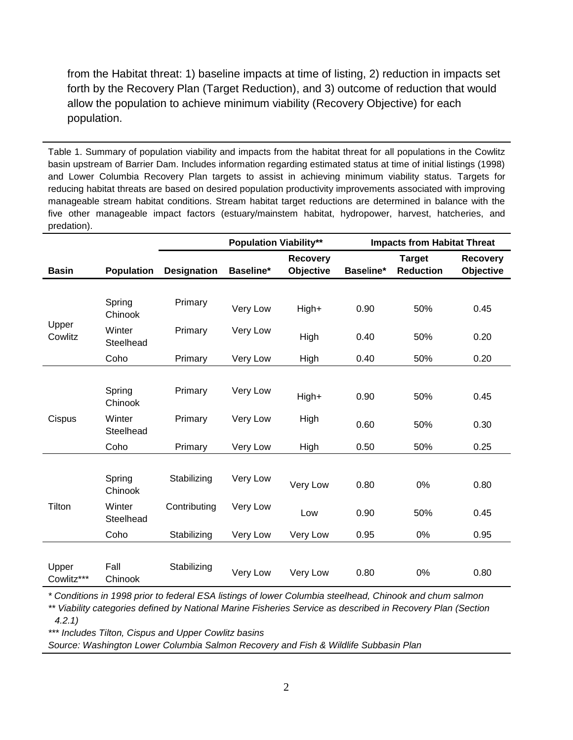from the Habitat threat: 1) baseline impacts at time of listing, 2) reduction in impacts set forth by the Recovery Plan (Target Reduction), and 3) outcome of reduction that would allow the population to achieve minimum viability (Recovery Objective) for each population.

Table 1. Summary of population viability and impacts from the habitat threat for all populations in the Cowlitz basin upstream of Barrier Dam. Includes information regarding estimated status at time of initial listings (1998) and Lower Columbia Recovery Plan targets to assist in achieving minimum viability status. Targets for reducing habitat threats are based on desired population productivity improvements associated with improving manageable stream habitat conditions. Stream habitat target reductions are determined in balance with the five other manageable impact factors (estuary/mainstem habitat, hydropower, harvest, hatcheries, and predation).

|                     |                     |                    | <b>Population Viability**</b> |                  | <b>Impacts from Habitat Threat</b> |                  |                 |
|---------------------|---------------------|--------------------|-------------------------------|------------------|------------------------------------|------------------|-----------------|
|                     |                     |                    |                               | <b>Recovery</b>  |                                    | <b>Target</b>    | <b>Recovery</b> |
| <b>Basin</b>        | <b>Population</b>   | <b>Designation</b> | Baseline*                     | <b>Objective</b> | Baseline*                          | <b>Reduction</b> | Objective       |
|                     |                     |                    |                               |                  |                                    |                  |                 |
| Upper<br>Cowlitz    | Spring<br>Chinook   | Primary            | Very Low                      | High+            | 0.90                               | 50%              | 0.45            |
|                     | Winter<br>Steelhead | Primary            | Very Low                      | High             | 0.40                               | 50%              | 0.20            |
|                     | Coho                | Primary            | Very Low                      | High             | 0.40                               | 50%              | 0.20            |
|                     |                     |                    |                               |                  |                                    |                  |                 |
| Cispus              | Spring<br>Chinook   | Primary            | Very Low                      | High+            | 0.90                               | 50%              | 0.45            |
|                     | Winter<br>Steelhead | Primary            | Very Low                      | High             | 0.60                               | 50%              | 0.30            |
|                     | Coho                | Primary            | Very Low                      | High             | 0.50                               | 50%              | 0.25            |
|                     |                     |                    |                               |                  |                                    |                  |                 |
| Tilton              | Spring<br>Chinook   | Stabilizing        | Very Low                      | Very Low         | 0.80                               | 0%               | 0.80            |
|                     | Winter<br>Steelhead | Contributing       | Very Low                      | Low              | 0.90                               | 50%              | 0.45            |
|                     | Coho                | Stabilizing        | Very Low                      | Very Low         | 0.95                               | 0%               | 0.95            |
|                     |                     |                    |                               |                  |                                    |                  |                 |
| Upper<br>Cowlitz*** | Fall<br>Chinook     | Stabilizing        | Very Low                      | Very Low         | 0.80                               | 0%               | 0.80            |

*\* Conditions in 1998 prior to federal ESA listings of lower Columbia steelhead, Chinook and chum salmon*

*\*\* Viability categories defined by National Marine Fisheries Service as described in Recovery Plan (Section 4.2.1)*

*\*\*\* Includes Tilton, Cispus and Upper Cowlitz basins*

*Source: Washington Lower Columbia Salmon Recovery and Fish & Wildlife Subbasin Plan*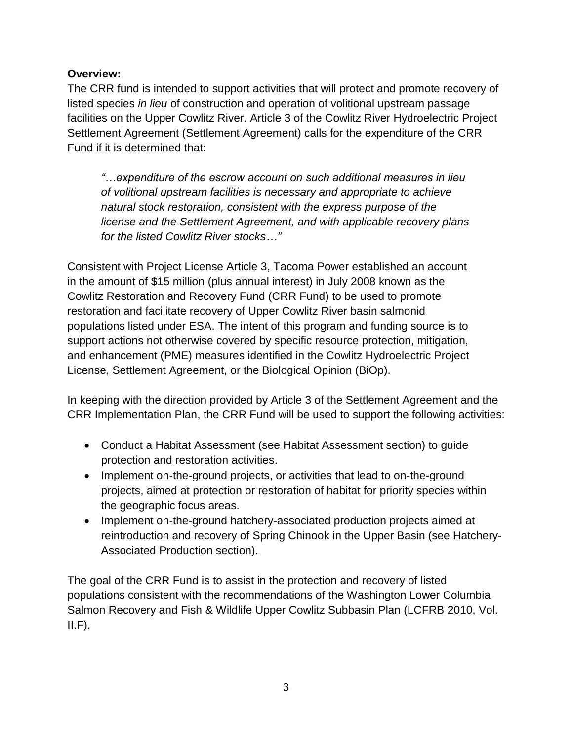## **Overview:**

The CRR fund is intended to support activities that will protect and promote recovery of listed species *in lieu* of construction and operation of volitional upstream passage facilities on the Upper Cowlitz River. Article 3 of the Cowlitz River Hydroelectric Project Settlement Agreement (Settlement Agreement) calls for the expenditure of the CRR Fund if it is determined that:

*"…expenditure of the escrow account on such additional measures in lieu of volitional upstream facilities is necessary and appropriate to achieve natural stock restoration, consistent with the express purpose of the license and the Settlement Agreement, and with applicable recovery plans for the listed Cowlitz River stocks…"*

Consistent with Project License Article 3, Tacoma Power established an account in the amount of \$15 million (plus annual interest) in July 2008 known as the Cowlitz Restoration and Recovery Fund (CRR Fund) to be used to promote restoration and facilitate recovery of Upper Cowlitz River basin salmonid populations listed under ESA. The intent of this program and funding source is to support actions not otherwise covered by specific resource protection, mitigation, and enhancement (PME) measures identified in the Cowlitz Hydroelectric Project License, Settlement Agreement, or the Biological Opinion (BiOp).

In keeping with the direction provided by Article 3 of the Settlement Agreement and the CRR Implementation Plan, the CRR Fund will be used to support the following activities:

- Conduct a Habitat Assessment (see Habitat Assessment section) to guide protection and restoration activities.
- Implement on-the-ground projects, or activities that lead to on-the-ground projects, aimed at protection or restoration of habitat for priority species within the geographic focus areas.
- Implement on-the-ground hatchery-associated production projects aimed at reintroduction and recovery of Spring Chinook in the Upper Basin (see Hatchery-Associated Production section).

The goal of the CRR Fund is to assist in the protection and recovery of listed populations consistent with the recommendations of the Washington Lower Columbia Salmon Recovery and Fish & Wildlife Upper Cowlitz Subbasin Plan (LCFRB 2010, Vol.  $II.F$ ).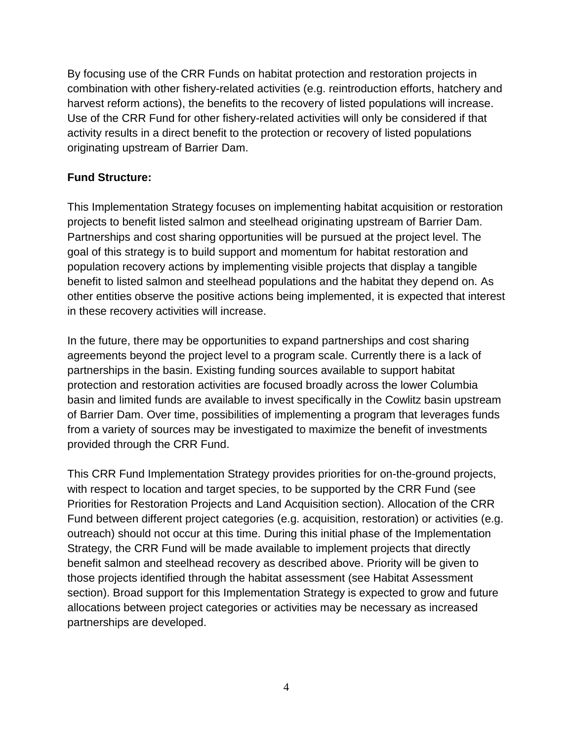By focusing use of the CRR Funds on habitat protection and restoration projects in combination with other fishery-related activities (e.g. reintroduction efforts, hatchery and harvest reform actions), the benefits to the recovery of listed populations will increase. Use of the CRR Fund for other fishery-related activities will only be considered if that activity results in a direct benefit to the protection or recovery of listed populations originating upstream of Barrier Dam.

### **Fund Structure:**

This Implementation Strategy focuses on implementing habitat acquisition or restoration projects to benefit listed salmon and steelhead originating upstream of Barrier Dam. Partnerships and cost sharing opportunities will be pursued at the project level. The goal of this strategy is to build support and momentum for habitat restoration and population recovery actions by implementing visible projects that display a tangible benefit to listed salmon and steelhead populations and the habitat they depend on. As other entities observe the positive actions being implemented, it is expected that interest in these recovery activities will increase.

In the future, there may be opportunities to expand partnerships and cost sharing agreements beyond the project level to a program scale. Currently there is a lack of partnerships in the basin. Existing funding sources available to support habitat protection and restoration activities are focused broadly across the lower Columbia basin and limited funds are available to invest specifically in the Cowlitz basin upstream of Barrier Dam. Over time, possibilities of implementing a program that leverages funds from a variety of sources may be investigated to maximize the benefit of investments provided through the CRR Fund.

This CRR Fund Implementation Strategy provides priorities for on-the-ground projects, with respect to location and target species, to be supported by the CRR Fund (see Priorities for Restoration Projects and Land Acquisition section). Allocation of the CRR Fund between different project categories (e.g. acquisition, restoration) or activities (e.g. outreach) should not occur at this time. During this initial phase of the Implementation Strategy, the CRR Fund will be made available to implement projects that directly benefit salmon and steelhead recovery as described above. Priority will be given to those projects identified through the habitat assessment (see Habitat Assessment section). Broad support for this Implementation Strategy is expected to grow and future allocations between project categories or activities may be necessary as increased partnerships are developed.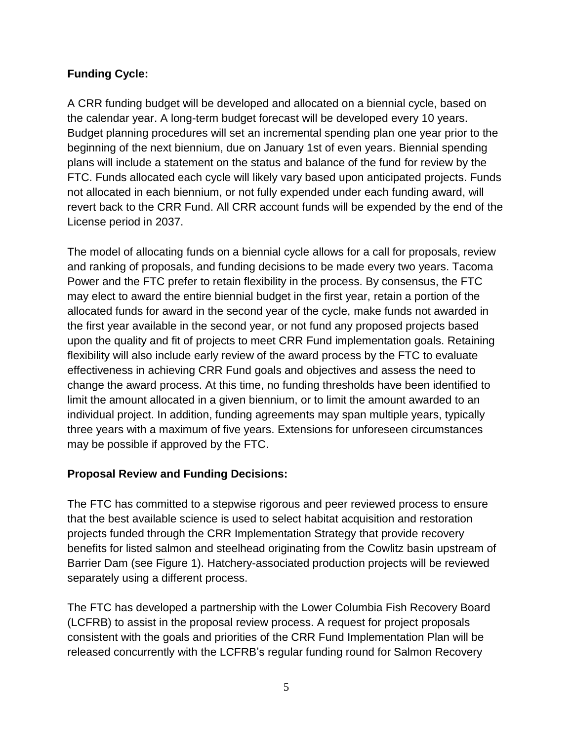## **Funding Cycle:**

A CRR funding budget will be developed and allocated on a biennial cycle, based on the calendar year. A long-term budget forecast will be developed every 10 years. Budget planning procedures will set an incremental spending plan one year prior to the beginning of the next biennium, due on January 1st of even years. Biennial spending plans will include a statement on the status and balance of the fund for review by the FTC. Funds allocated each cycle will likely vary based upon anticipated projects. Funds not allocated in each biennium, or not fully expended under each funding award, will revert back to the CRR Fund. All CRR account funds will be expended by the end of the License period in 2037.

The model of allocating funds on a biennial cycle allows for a call for proposals, review and ranking of proposals, and funding decisions to be made every two years. Tacoma Power and the FTC prefer to retain flexibility in the process. By consensus, the FTC may elect to award the entire biennial budget in the first year, retain a portion of the allocated funds for award in the second year of the cycle, make funds not awarded in the first year available in the second year, or not fund any proposed projects based upon the quality and fit of projects to meet CRR Fund implementation goals. Retaining flexibility will also include early review of the award process by the FTC to evaluate effectiveness in achieving CRR Fund goals and objectives and assess the need to change the award process. At this time, no funding thresholds have been identified to limit the amount allocated in a given biennium, or to limit the amount awarded to an individual project. In addition, funding agreements may span multiple years, typically three years with a maximum of five years. Extensions for unforeseen circumstances may be possible if approved by the FTC.

#### **Proposal Review and Funding Decisions:**

The FTC has committed to a stepwise rigorous and peer reviewed process to ensure that the best available science is used to select habitat acquisition and restoration projects funded through the CRR Implementation Strategy that provide recovery benefits for listed salmon and steelhead originating from the Cowlitz basin upstream of Barrier Dam (see Figure 1). Hatchery-associated production projects will be reviewed separately using a different process.

The FTC has developed a partnership with the Lower Columbia Fish Recovery Board (LCFRB) to assist in the proposal review process. A request for project proposals consistent with the goals and priorities of the CRR Fund Implementation Plan will be released concurrently with the LCFRB's regular funding round for Salmon Recovery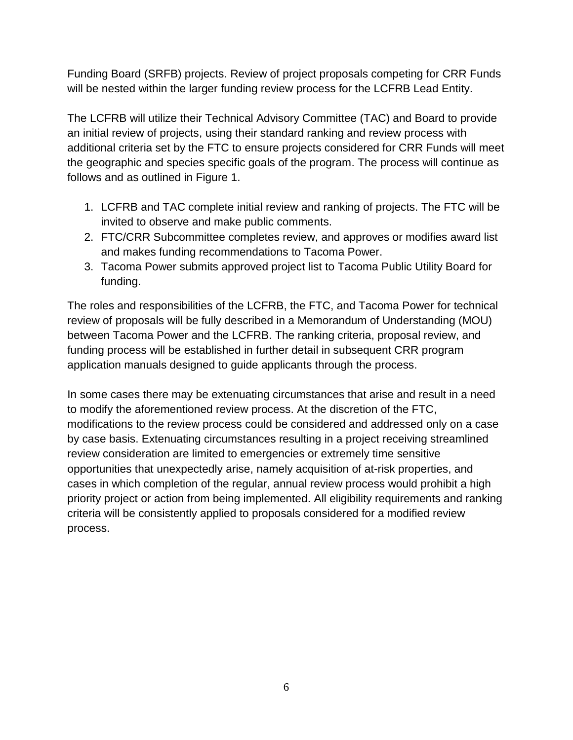Funding Board (SRFB) projects. Review of project proposals competing for CRR Funds will be nested within the larger funding review process for the LCFRB Lead Entity.

The LCFRB will utilize their Technical Advisory Committee (TAC) and Board to provide an initial review of projects, using their standard ranking and review process with additional criteria set by the FTC to ensure projects considered for CRR Funds will meet the geographic and species specific goals of the program. The process will continue as follows and as outlined in Figure 1.

- 1. LCFRB and TAC complete initial review and ranking of projects. The FTC will be invited to observe and make public comments.
- 2. FTC/CRR Subcommittee completes review, and approves or modifies award list and makes funding recommendations to Tacoma Power.
- 3. Tacoma Power submits approved project list to Tacoma Public Utility Board for funding.

The roles and responsibilities of the LCFRB, the FTC, and Tacoma Power for technical review of proposals will be fully described in a Memorandum of Understanding (MOU) between Tacoma Power and the LCFRB. The ranking criteria, proposal review, and funding process will be established in further detail in subsequent CRR program application manuals designed to guide applicants through the process.

In some cases there may be extenuating circumstances that arise and result in a need to modify the aforementioned review process. At the discretion of the FTC, modifications to the review process could be considered and addressed only on a case by case basis. Extenuating circumstances resulting in a project receiving streamlined review consideration are limited to emergencies or extremely time sensitive opportunities that unexpectedly arise, namely acquisition of at-risk properties, and cases in which completion of the regular, annual review process would prohibit a high priority project or action from being implemented. All eligibility requirements and ranking criteria will be consistently applied to proposals considered for a modified review process.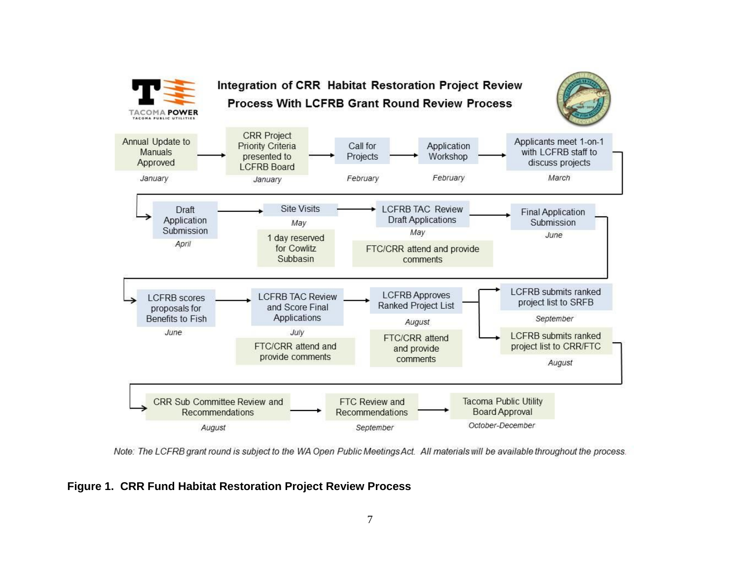

Note: The LCFRB grant round is subject to the WA Open Public Meetings Act. All materials will be available throughout the process.

**Figure 1. CRR Fund Habitat Restoration Project Review Process**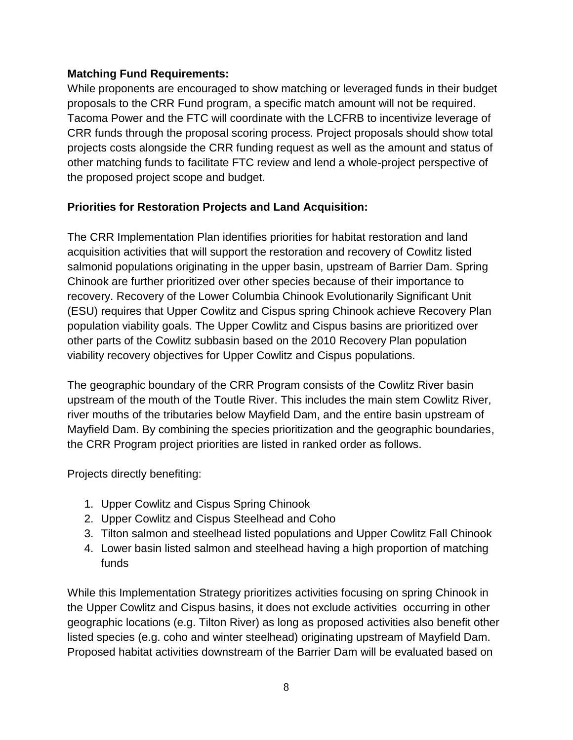#### **Matching Fund Requirements:**

While proponents are encouraged to show matching or leveraged funds in their budget proposals to the CRR Fund program, a specific match amount will not be required. Tacoma Power and the FTC will coordinate with the LCFRB to incentivize leverage of CRR funds through the proposal scoring process. Project proposals should show total projects costs alongside the CRR funding request as well as the amount and status of other matching funds to facilitate FTC review and lend a whole-project perspective of the proposed project scope and budget.

## **Priorities for Restoration Projects and Land Acquisition:**

The CRR Implementation Plan identifies priorities for habitat restoration and land acquisition activities that will support the restoration and recovery of Cowlitz listed salmonid populations originating in the upper basin, upstream of Barrier Dam. Spring Chinook are further prioritized over other species because of their importance to recovery. Recovery of the Lower Columbia Chinook Evolutionarily Significant Unit (ESU) requires that Upper Cowlitz and Cispus spring Chinook achieve Recovery Plan population viability goals. The Upper Cowlitz and Cispus basins are prioritized over other parts of the Cowlitz subbasin based on the 2010 Recovery Plan population viability recovery objectives for Upper Cowlitz and Cispus populations.

The geographic boundary of the CRR Program consists of the Cowlitz River basin upstream of the mouth of the Toutle River. This includes the main stem Cowlitz River, river mouths of the tributaries below Mayfield Dam, and the entire basin upstream of Mayfield Dam. By combining the species prioritization and the geographic boundaries, the CRR Program project priorities are listed in ranked order as follows.

Projects directly benefiting:

- 1. Upper Cowlitz and Cispus Spring Chinook
- 2. Upper Cowlitz and Cispus Steelhead and Coho
- 3. Tilton salmon and steelhead listed populations and Upper Cowlitz Fall Chinook
- 4. Lower basin listed salmon and steelhead having a high proportion of matching funds

While this Implementation Strategy prioritizes activities focusing on spring Chinook in the Upper Cowlitz and Cispus basins, it does not exclude activities occurring in other geographic locations (e.g. Tilton River) as long as proposed activities also benefit other listed species (e.g. coho and winter steelhead) originating upstream of Mayfield Dam. Proposed habitat activities downstream of the Barrier Dam will be evaluated based on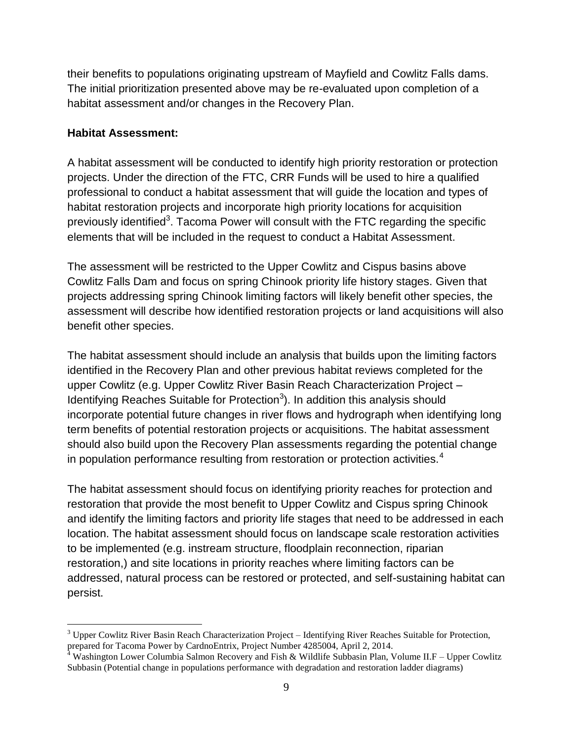their benefits to populations originating upstream of Mayfield and Cowlitz Falls dams. The initial prioritization presented above may be re-evaluated upon completion of a habitat assessment and/or changes in the Recovery Plan.

#### **Habitat Assessment:**

 $\overline{a}$ 

A habitat assessment will be conducted to identify high priority restoration or protection projects. Under the direction of the FTC, CRR Funds will be used to hire a qualified professional to conduct a habitat assessment that will guide the location and types of habitat restoration projects and incorporate high priority locations for acquisition previously identified<sup>3</sup>. Tacoma Power will consult with the FTC regarding the specific elements that will be included in the request to conduct a Habitat Assessment.

The assessment will be restricted to the Upper Cowlitz and Cispus basins above Cowlitz Falls Dam and focus on spring Chinook priority life history stages. Given that projects addressing spring Chinook limiting factors will likely benefit other species, the assessment will describe how identified restoration projects or land acquisitions will also benefit other species.

The habitat assessment should include an analysis that builds upon the limiting factors identified in the Recovery Plan and other previous habitat reviews completed for the upper Cowlitz (e.g. Upper Cowlitz River Basin Reach Characterization Project – Identifying Reaches Suitable for Protection<sup>3</sup>). In addition this analysis should incorporate potential future changes in river flows and hydrograph when identifying long term benefits of potential restoration projects or acquisitions. The habitat assessment should also build upon the Recovery Plan assessments regarding the potential change in population performance resulting from restoration or protection activities. $4$ 

The habitat assessment should focus on identifying priority reaches for protection and restoration that provide the most benefit to Upper Cowlitz and Cispus spring Chinook and identify the limiting factors and priority life stages that need to be addressed in each location. The habitat assessment should focus on landscape scale restoration activities to be implemented (e.g. instream structure, floodplain reconnection, riparian restoration,) and site locations in priority reaches where limiting factors can be addressed, natural process can be restored or protected, and self-sustaining habitat can persist.

 $3$  Upper Cowlitz River Basin Reach Characterization Project – Identifying River Reaches Suitable for Protection, prepared for Tacoma Power by CardnoEntrix, Project Number 4285004, April 2, 2014.

 $4 \text{ Washington Lower Columbia Salmon Recovery}$  and Fish & Wildlife Subbasin Plan, Volume II.F – Upper Cowlitz Subbasin (Potential change in populations performance with degradation and restoration ladder diagrams)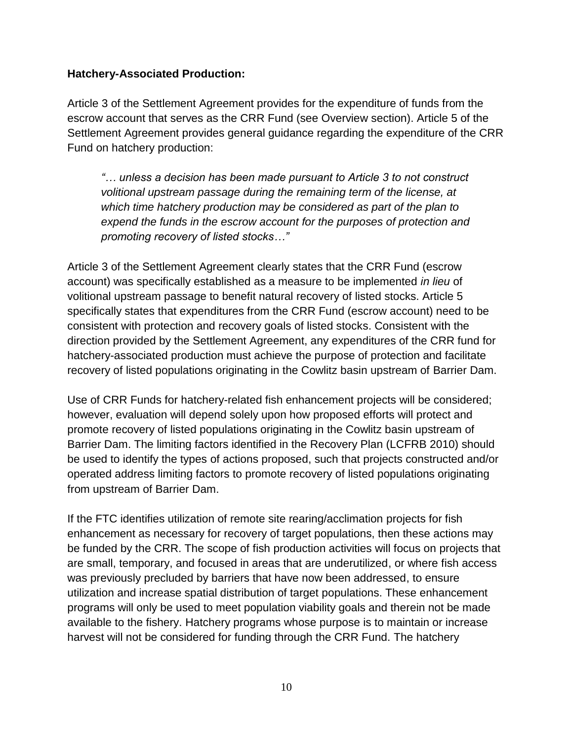#### **Hatchery-Associated Production:**

Article 3 of the Settlement Agreement provides for the expenditure of funds from the escrow account that serves as the CRR Fund (see Overview section). Article 5 of the Settlement Agreement provides general guidance regarding the expenditure of the CRR Fund on hatchery production:

*"… unless a decision has been made pursuant to Article 3 to not construct volitional upstream passage during the remaining term of the license, at which time hatchery production may be considered as part of the plan to expend the funds in the escrow account for the purposes of protection and promoting recovery of listed stocks…"*

Article 3 of the Settlement Agreement clearly states that the CRR Fund (escrow account) was specifically established as a measure to be implemented *in lieu* of volitional upstream passage to benefit natural recovery of listed stocks. Article 5 specifically states that expenditures from the CRR Fund (escrow account) need to be consistent with protection and recovery goals of listed stocks. Consistent with the direction provided by the Settlement Agreement, any expenditures of the CRR fund for hatchery-associated production must achieve the purpose of protection and facilitate recovery of listed populations originating in the Cowlitz basin upstream of Barrier Dam.

Use of CRR Funds for hatchery-related fish enhancement projects will be considered; however, evaluation will depend solely upon how proposed efforts will protect and promote recovery of listed populations originating in the Cowlitz basin upstream of Barrier Dam. The limiting factors identified in the Recovery Plan (LCFRB 2010) should be used to identify the types of actions proposed, such that projects constructed and/or operated address limiting factors to promote recovery of listed populations originating from upstream of Barrier Dam.

If the FTC identifies utilization of remote site rearing/acclimation projects for fish enhancement as necessary for recovery of target populations, then these actions may be funded by the CRR. The scope of fish production activities will focus on projects that are small, temporary, and focused in areas that are underutilized, or where fish access was previously precluded by barriers that have now been addressed, to ensure utilization and increase spatial distribution of target populations. These enhancement programs will only be used to meet population viability goals and therein not be made available to the fishery. Hatchery programs whose purpose is to maintain or increase harvest will not be considered for funding through the CRR Fund. The hatchery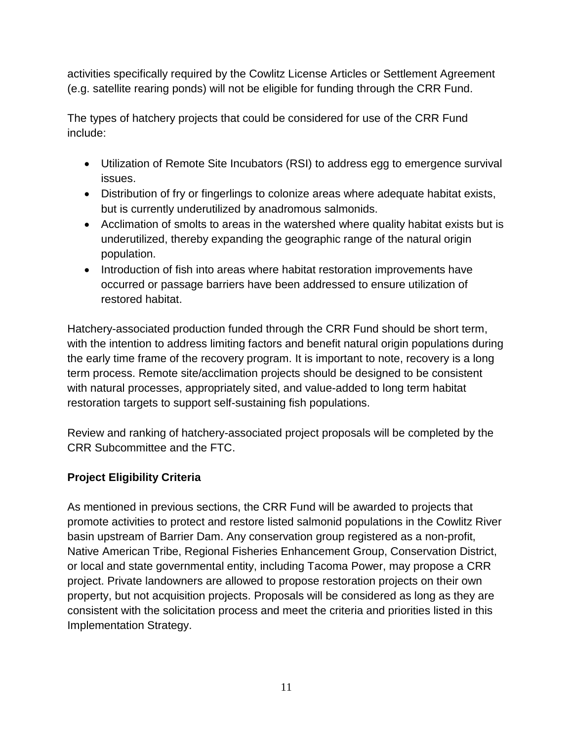activities specifically required by the Cowlitz License Articles or Settlement Agreement (e.g. satellite rearing ponds) will not be eligible for funding through the CRR Fund.

The types of hatchery projects that could be considered for use of the CRR Fund include:

- Utilization of Remote Site Incubators (RSI) to address egg to emergence survival issues.
- Distribution of fry or fingerlings to colonize areas where adequate habitat exists, but is currently underutilized by anadromous salmonids.
- Acclimation of smolts to areas in the watershed where quality habitat exists but is underutilized, thereby expanding the geographic range of the natural origin population.
- Introduction of fish into areas where habitat restoration improvements have occurred or passage barriers have been addressed to ensure utilization of restored habitat.

Hatchery-associated production funded through the CRR Fund should be short term, with the intention to address limiting factors and benefit natural origin populations during the early time frame of the recovery program. It is important to note, recovery is a long term process. Remote site/acclimation projects should be designed to be consistent with natural processes, appropriately sited, and value-added to long term habitat restoration targets to support self-sustaining fish populations.

Review and ranking of hatchery-associated project proposals will be completed by the CRR Subcommittee and the FTC.

## **Project Eligibility Criteria**

As mentioned in previous sections, the CRR Fund will be awarded to projects that promote activities to protect and restore listed salmonid populations in the Cowlitz River basin upstream of Barrier Dam. Any conservation group registered as a non-profit, Native American Tribe, Regional Fisheries Enhancement Group, Conservation District, or local and state governmental entity, including Tacoma Power, may propose a CRR project. Private landowners are allowed to propose restoration projects on their own property, but not acquisition projects. Proposals will be considered as long as they are consistent with the solicitation process and meet the criteria and priorities listed in this Implementation Strategy.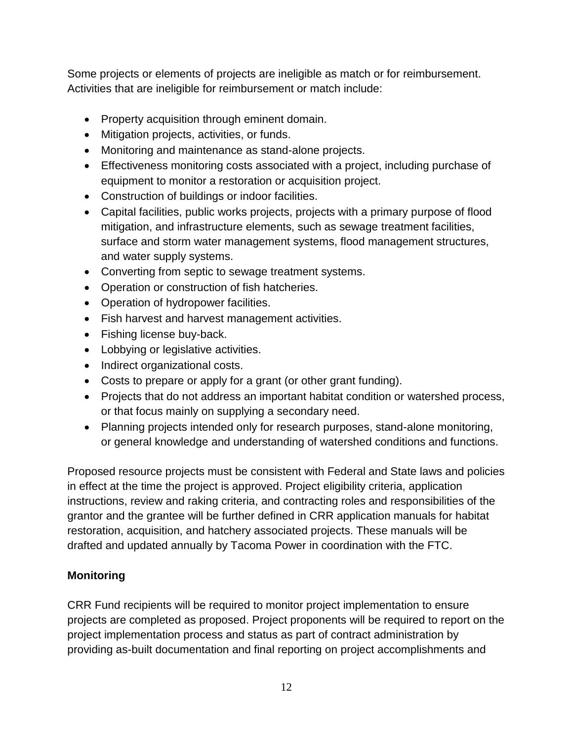Some projects or elements of projects are ineligible as match or for reimbursement. Activities that are ineligible for reimbursement or match include:

- Property acquisition through eminent domain.
- Mitigation projects, activities, or funds.
- Monitoring and maintenance as stand-alone projects.
- Effectiveness monitoring costs associated with a project, including purchase of equipment to monitor a restoration or acquisition project.
- Construction of buildings or indoor facilities.
- Capital facilities, public works projects, projects with a primary purpose of flood mitigation, and infrastructure elements, such as sewage treatment facilities, surface and storm water management systems, flood management structures, and water supply systems.
- Converting from septic to sewage treatment systems.
- Operation or construction of fish hatcheries.
- Operation of hydropower facilities.
- Fish harvest and harvest management activities.
- Fishing license buy-back.
- Lobbying or legislative activities.
- Indirect organizational costs.
- Costs to prepare or apply for a grant (or other grant funding).
- Projects that do not address an important habitat condition or watershed process, or that focus mainly on supplying a secondary need.
- Planning projects intended only for research purposes, stand-alone monitoring, or general knowledge and understanding of watershed conditions and functions.

Proposed resource projects must be consistent with Federal and State laws and policies in effect at the time the project is approved. Project eligibility criteria, application instructions, review and raking criteria, and contracting roles and responsibilities of the grantor and the grantee will be further defined in CRR application manuals for habitat restoration, acquisition, and hatchery associated projects. These manuals will be drafted and updated annually by Tacoma Power in coordination with the FTC.

## **Monitoring**

CRR Fund recipients will be required to monitor project implementation to ensure projects are completed as proposed. Project proponents will be required to report on the project implementation process and status as part of contract administration by providing as-built documentation and final reporting on project accomplishments and